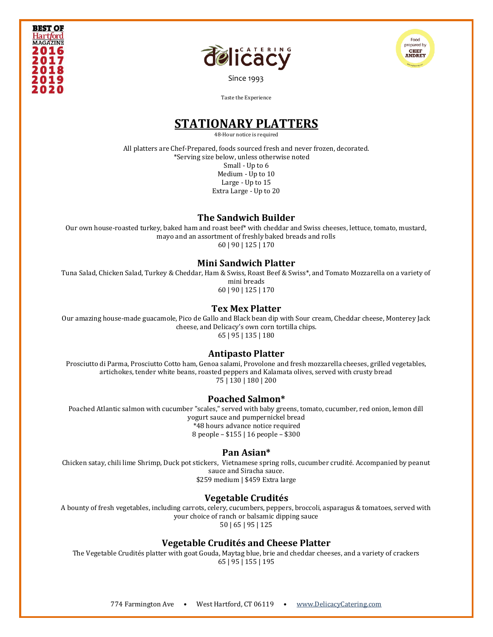





[Since 1993](file:///C:/Users/DelicacyCatering/Dropbox/DELCATERING/1%20Stationary/delicacycatering.com)

Taste the Experience

# **STATIONARY PLATTERS**

48-Hour notice is required

All platters are Chef-Prepared, foods sourced fresh and never frozen, decorated. \*Serving size below, unless otherwise noted Small - Up to 6 Medium - Up to 10 Large - Up to 15 Extra Large - Up to 20

## **The Sandwich Builder**

Our own house-roasted turkey, baked ham and roast beef\* with cheddar and Swiss cheeses, lettuce, tomato, mustard, mayo and an assortment of freshly baked breads and rolls 60 | 90 | 125 | 170

## **Mini Sandwich Platter**

Tuna Salad, Chicken Salad, Turkey & Cheddar, Ham & Swiss, Roast Beef & Swiss\*, and Tomato Mozzarella on a variety of mini breads

60 | 90 | 125 | 170

## **Tex Mex Platter**

Our amazing house-made guacamole, Pico de Gallo and Black bean dip with Sour cream, Cheddar cheese, Monterey Jack cheese, and Delicacy's own corn tortilla chips. 65 | 95 | 135 | 180

## **Antipasto Platter**

Prosciutto di Parma, Prosciutto Cotto ham, Genoa salami, Provolone and fresh mozzarella cheeses, grilled vegetables, artichokes, tender white beans, roasted peppers and Kalamata olives, served with crusty bread 75 | 130 | 180 | 200

## **Poached Salmon\***

Poached Atlantic salmon with cucumber "scales," served with baby greens, tomato, cucumber, red onion, lemon dill yogurt sauce and pumpernickel bread \*48 hours advance notice required 8 people – \$155 | 16 people – \$300

# **Pan Asian\***

Chicken satay, chili lime Shrimp, Duck pot stickers, Vietnamese spring rolls, cucumber crudité. Accompanied by peanut sauce and Siracha sauce. \$259 medium | \$459 Extra large

# **Vegetable Crudités**

A bounty of fresh vegetables, including carrots, celery, cucumbers, peppers, broccoli, asparagus & tomatoes, served with your choice of ranch or balsamic dipping sauce 50 | 65 | 95 | 125

## **Vegetable Crudités and Cheese Platter**

The Vegetable Crudités platter with goat Gouda, Maytag blue, brie and cheddar cheeses, and a variety of crackers 65 | 95 | 155 | 195